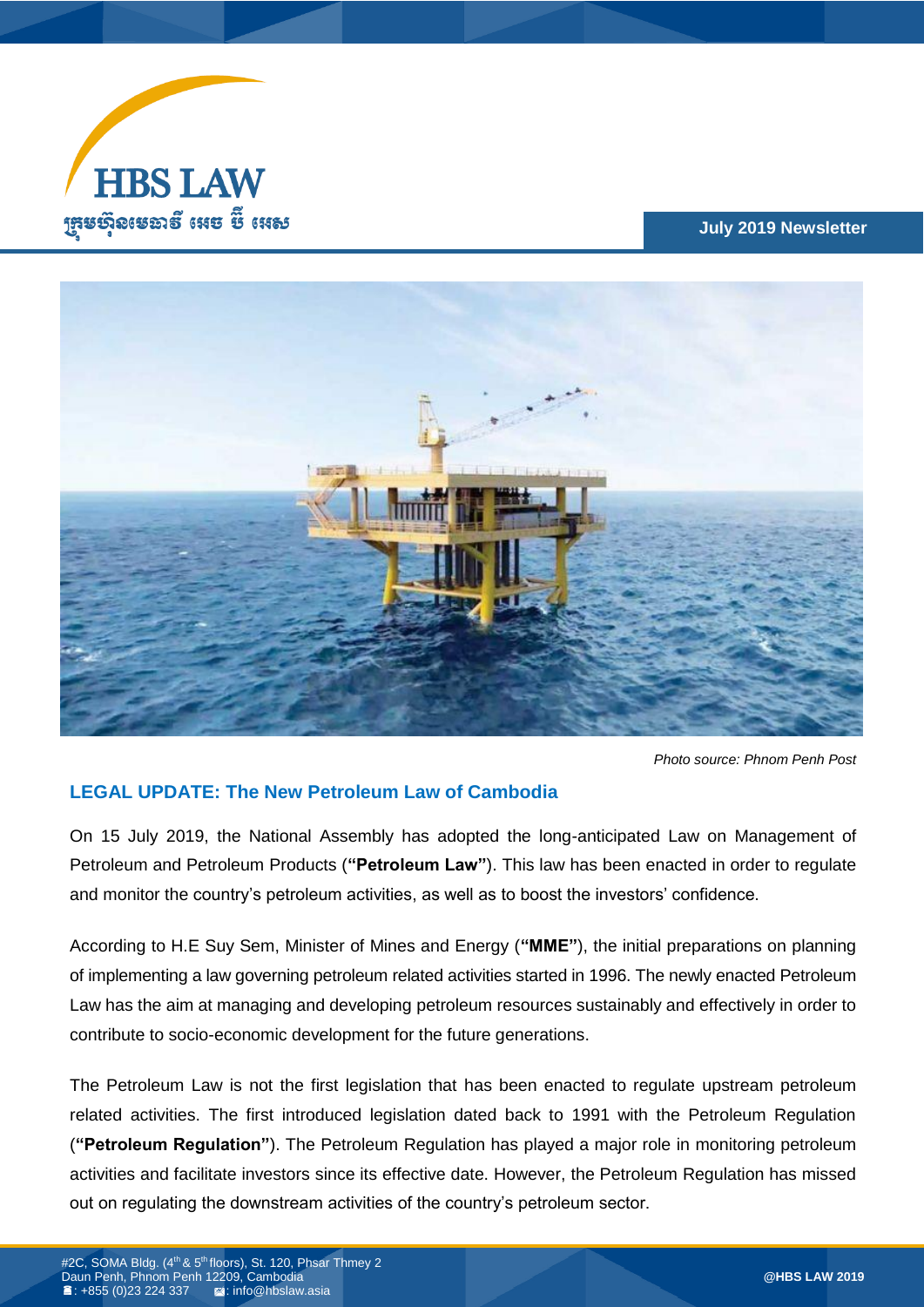

## **July 2019 Newsletter**



*Photo source: Phnom Penh Post*

# **LEGAL UPDATE: The New Petroleum Law of Cambodia**

On 15 July 2019, the National Assembly has adopted the long-anticipated Law on Management of Petroleum and Petroleum Products (**"Petroleum Law"**). This law has been enacted in order to regulate and monitor the country's petroleum activities, as well as to boost the investors' confidence.

According to H.E Suy Sem, Minister of Mines and Energy (**"MME"**), the initial preparations on planning of implementing a law governing petroleum related activities started in 1996. The newly enacted Petroleum Law has the aim at managing and developing petroleum resources sustainably and effectively in order to contribute to socio-economic development for the future generations.

The Petroleum Law is not the first legislation that has been enacted to regulate upstream petroleum related activities. The first introduced legislation dated back to 1991 with the Petroleum Regulation (**"Petroleum Regulation"**). The Petroleum Regulation has played a major role in monitoring petroleum activities and facilitate investors since its effective date. However, the Petroleum Regulation has missed out on regulating the downstream activities of the country's petroleum sector.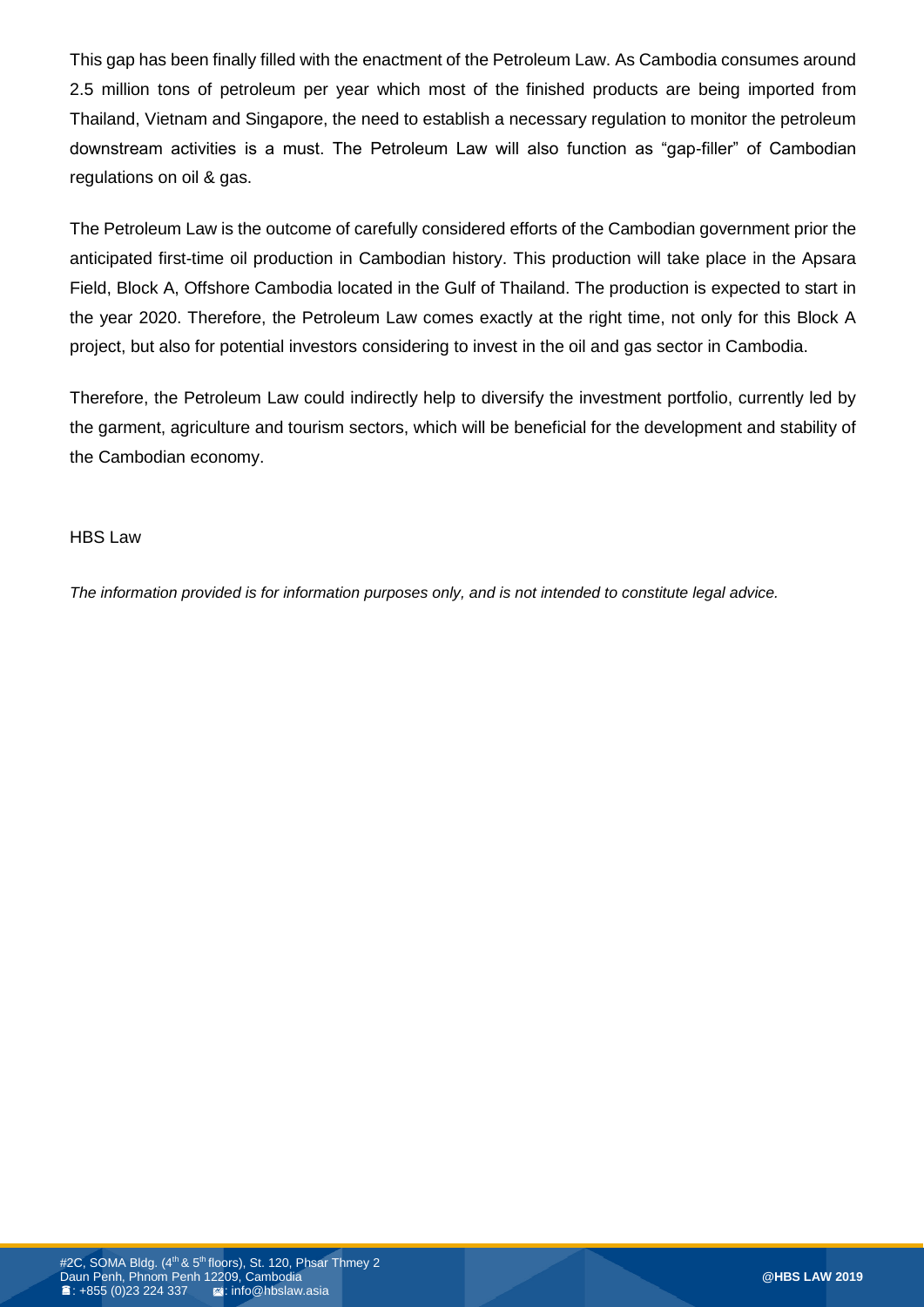This gap has been finally filled with the enactment of the Petroleum Law. As Cambodia consumes around 2.5 million tons of petroleum per year which most of the finished products are being imported from Thailand, Vietnam and Singapore, the need to establish a necessary regulation to monitor the petroleum downstream activities is a must. The Petroleum Law will also function as "gap-filler" of Cambodian regulations on oil & gas.

The Petroleum Law is the outcome of carefully considered efforts of the Cambodian government prior the anticipated first-time oil production in Cambodian history. This production will take place in the Apsara Field, Block A, Offshore Cambodia located in the Gulf of Thailand. The production is expected to start in the year 2020. Therefore, the Petroleum Law comes exactly at the right time, not only for this Block A project, but also for potential investors considering to invest in the oil and gas sector in Cambodia.

the garment, agriculture and tourism sectors, which will be beneficial for the development and stability of the Cambodian economy. **Example 2018, Cambodia and Penn 12209, Cambodia and Penn 1220**, Cambodia and Penn 1220, Cambodia and Penn 1220, Cambodia and Penn 1220, Cambodia and Penn 1220, Cambodia and Penn 1220, Cambodian and Therefore, the Petroleum Law could indirectly help to diversify the investment portfolio, currently led by

#### HBS Law

*The information provided is for information purposes only, and is not intended to constitute legal advice.*